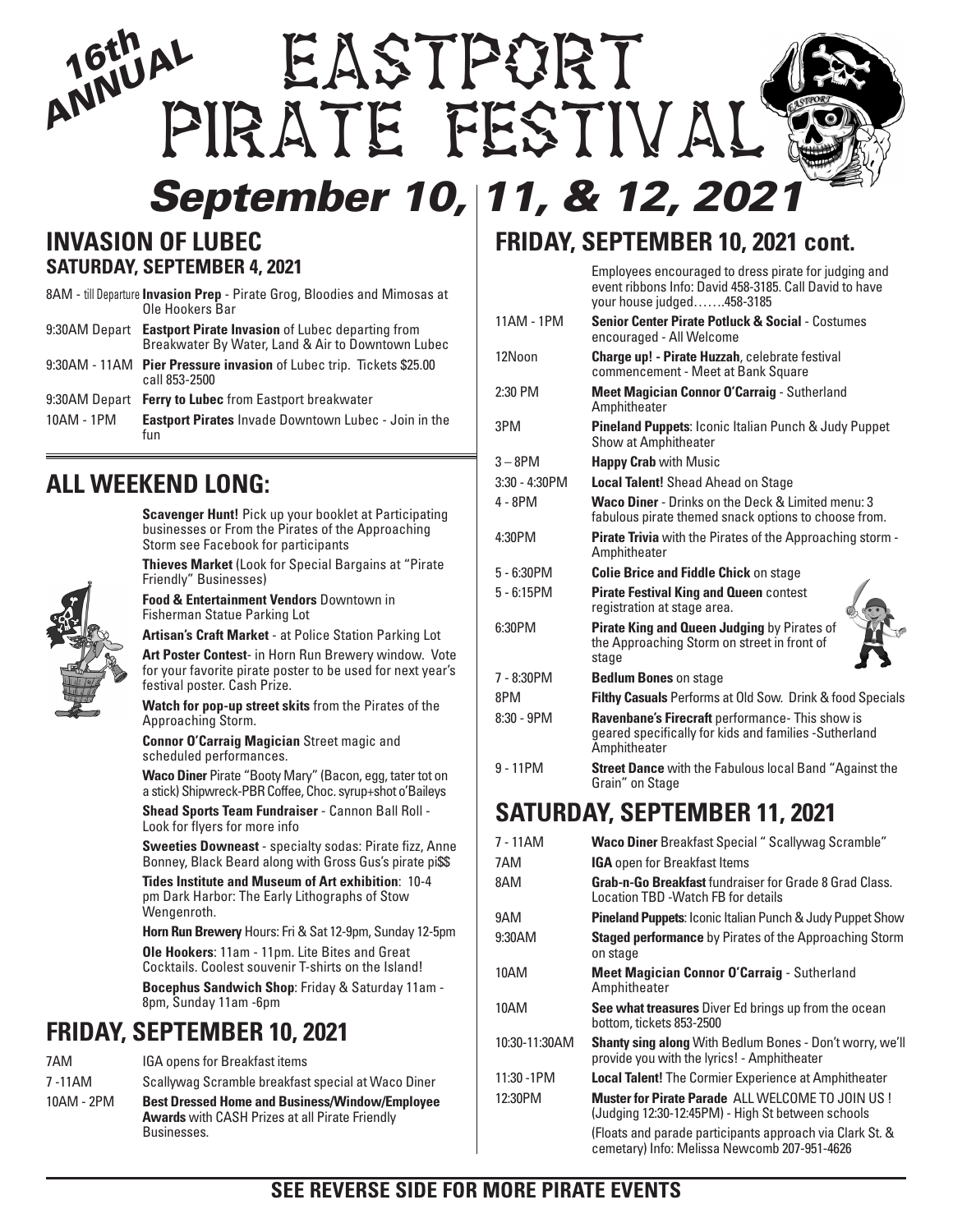# *September 10, 11, & 12, 2021 ANNUAL 16th* EASTPORT Pirate Festival

#### **INVASION OF LUBEC SATURDAY, SEPTEMBER 4, 2021**

|            | 8AM - till Departure Invasion Prep - Pirate Grog, Bloodies and Mimosas at<br>Ole Hookers Bar                        |
|------------|---------------------------------------------------------------------------------------------------------------------|
|            | 9:30AM Depart Eastport Pirate Invasion of Lubec departing from<br>Breakwater By Water, Land & Air to Downtown Lubec |
|            | 9:30AM - 11AM Pier Pressure invasion of Lubec trip. Tickets \$25.00<br>call 853-2500                                |
|            | 9:30AM Depart Ferry to Lubec from Eastport breakwater                                                               |
| 10AM - 1PM | <b>Eastport Pirates</b> Invade Downtown Lubec - Join in the<br>fun                                                  |

#### **ALL WEEKEND LONG:**

**Scavenger Hunt!** Pick up your booklet at Participating businesses or From the Pirates of the Approaching Storm see Facebook for participants

**Thieves Market** (Look for Special Bargains at "Pirate Friendly" Businesses)

**Food & Entertainment Vendors** Downtown in Fisherman Statue Parking Lot

**Artisan's Craft Market** - at Police Station Parking Lot

**Art Poster Contest**- in Horn Run Brewery window. Vote for your favorite pirate poster to be used for next year's festival poster. Cash Prize.

**Watch for pop-up street skits** from the Pirates of the Approaching Storm.

**Connor O'Carraig Magician** Street magic and scheduled performances.

**Waco Diner** Pirate "Booty Mary" (Bacon, egg, tater tot on a stick) Shipwreck-PBR Coffee, Choc. syrup+shot o'Baileys

**Shead Sports Team Fundraiser** - Cannon Ball Roll - Look for flyers for more info

**Sweeties Downeast** - specialty sodas: Pirate fizz, Anne Bonney, Black Beard along with Gross Gus's pirate pi\$\$

**Tides Institute and Museum of Art exhibition**: 10-4 pm Dark Harbor: The Early Lithographs of Stow Wengenroth.

**Horn Run Brewery** Hours: Fri & Sat 12-9pm, Sunday 12-5pm **Ole Hookers**: 11am - 11pm. Lite Bites and Great Cocktails. Coolest souvenir T-shirts on the Island!

**Bocephus Sandwich Shop**: Friday & Saturday 11am - 8pm, Sunday 11am -6pm

#### **FRIDAY, SEPTEMBER 10, 2021**

| 7AM        | <b>IGA opens for Breakfast items</b>                                                                                          |
|------------|-------------------------------------------------------------------------------------------------------------------------------|
| 7-11AM     | Scallywag Scramble breakfast special at Waco Diner                                                                            |
| 10AM - 2PM | <b>Best Dressed Home and Business/Window/Employee</b><br><b>Awards</b> with CASH Prizes at all Pirate Friendly<br>Businesses. |

#### **FRIDAY, SEPTEMBER 10, 2021 cont.**

Employees encouraged to dress pirate for judging and event ribbons Info: David 458-3185. Call David to have your house judged…….458-3185

| 11AM - 1PM       | <b>Senior Center Pirate Potluck &amp; Social - Costumes</b><br>encouraged - All Welcome                                          |
|------------------|----------------------------------------------------------------------------------------------------------------------------------|
| 12Noon           | <b>Charge up! - Pirate Huzzah, celebrate festival</b><br>commencement - Meet at Bank Square                                      |
| $2:30$ PM        | <b>Meet Magician Connor O'Carraig - Sutherland</b><br>Amphitheater                                                               |
| 3PM              | Pineland Puppets: Iconic Italian Punch & Judy Puppet<br>Show at Amphitheater                                                     |
| $3 - 8$ PM       | <b>Happy Crab</b> with Music                                                                                                     |
| $3:30 - 4:30$ PM | <b>Local Talent!</b> Shead Ahead on Stage                                                                                        |
| 4 - 8PM          | <b>Waco Diner</b> - Drinks on the Deck & Limited menu: 3<br>fabulous pirate themed snack options to choose from.                 |
| 4:30PM           | <b>Pirate Trivia</b> with the Pirates of the Approaching storm -<br>Amphitheater                                                 |
| $5 - 6:30$ PM    | <b>Colie Brice and Fiddle Chick on stage</b>                                                                                     |
| $5 - 6:15$ PM    | <b>Pirate Festival King and Queen contest</b><br>registration at stage area.                                                     |
| 6:30PM           | Pirate King and Queen Judging by Pirates of<br>the Approaching Storm on street in front of<br>stage                              |
| 7 - 8:30PM       | <b>Bedlum Bones</b> on stage                                                                                                     |
| 8PM              | <b>Filthy Casuals</b> Performs at Old Sow. Drink & food Specials                                                                 |
| $8:30 - 9PM$     | <b>Ravenbane's Firecraft</b> performance- This show is<br>geared specifically for kids and families - Sutherland<br>Amphitheater |
| $9 - 11$ PM      | <b>Street Dance</b> with the Fabulous local Band "Against the<br>Grain" on Stage                                                 |

#### **SATURDAY, SEPTEMBER 11, 2021**

| 7 - 11AM      | <b>Waco Diner</b> Breakfast Special " Scallywag Scramble"                                                      |
|---------------|----------------------------------------------------------------------------------------------------------------|
| 7AM           | <b>IGA</b> open for Breakfast Items                                                                            |
| 8AM           | <b>Grab-n-Go Breakfast</b> fundraiser for Grade 8 Grad Class.<br>Location TBD - Watch FB for details           |
| 9AM           | <b>Pineland Puppets:</b> Iconic Italian Punch & Judy Puppet Show                                               |
| 9:30AM        | <b>Staged performance</b> by Pirates of the Approaching Storm<br>on stage                                      |
| 10AM          | Meet Magician Connor O'Carraig - Sutherland<br>Amphitheater                                                    |
| 10AM          | See what treasures Diver Ed brings up from the ocean<br>bottom, tickets 853-2500                               |
| 10:30-11:30AM | <b>Shanty sing along</b> With Bedlum Bones - Don't worry, we'll<br>provide you with the lyrics! - Amphitheater |
| 11:30 - 1PM   | <b>Local Talent!</b> The Cormier Experience at Amphitheater                                                    |
| 12:30PM       | <b>Muster for Pirate Parade ALL WELCOME TO JOIN US!</b><br>(Judging 12:30-12:45PM) - High St between schools   |
|               | (Floats and parade participants approach via Clark St. &<br>cemetary) Info: Melissa Newcomb 207-951-4626       |
|               |                                                                                                                |